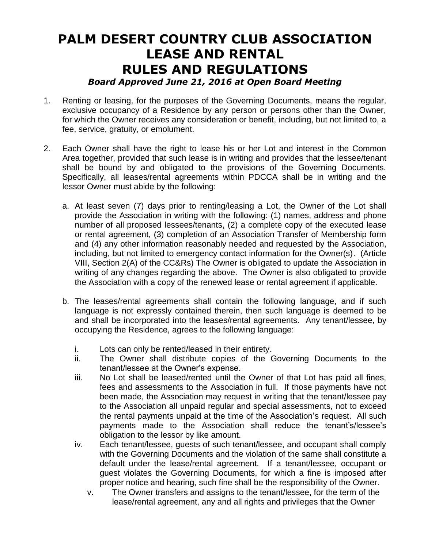## **PALM DESERT COUNTRY CLUB ASSOCIATION LEASE AND RENTAL RULES AND REGULATIONS**

## *Board Approved June 21, 2016 at Open Board Meeting*

- 1. Renting or leasing, for the purposes of the Governing Documents, means the regular, exclusive occupancy of a Residence by any person or persons other than the Owner, for which the Owner receives any consideration or benefit, including, but not limited to, a fee, service, gratuity, or emolument.
- 2. Each Owner shall have the right to lease his or her Lot and interest in the Common Area together, provided that such lease is in writing and provides that the lessee/tenant shall be bound by and obligated to the provisions of the Governing Documents. Specifically, all leases/rental agreements within PDCCA shall be in writing and the lessor Owner must abide by the following:
	- a. At least seven (7) days prior to renting/leasing a Lot, the Owner of the Lot shall provide the Association in writing with the following: (1) names, address and phone number of all proposed lessees/tenants, (2) a complete copy of the executed lease or rental agreement, (3) completion of an Association Transfer of Membership form and (4) any other information reasonably needed and requested by the Association, including, but not limited to emergency contact information for the Owner(s). (Article VIII, Section 2(A) of the CC&Rs) The Owner is obligated to update the Association in writing of any changes regarding the above. The Owner is also obligated to provide the Association with a copy of the renewed lease or rental agreement if applicable.
	- b. The leases/rental agreements shall contain the following language, and if such language is not expressly contained therein, then such language is deemed to be and shall be incorporated into the leases/rental agreements. Any tenant/lessee, by occupying the Residence, agrees to the following language:
		- i. Lots can only be rented/leased in their entirety.
		- ii. The Owner shall distribute copies of the Governing Documents to the tenant/lessee at the Owner's expense.
		- iii. No Lot shall be leased/rented until the Owner of that Lot has paid all fines, fees and assessments to the Association in full. If those payments have not been made, the Association may request in writing that the tenant/lessee pay to the Association all unpaid regular and special assessments, not to exceed the rental payments unpaid at the time of the Association's request. All such payments made to the Association shall reduce the tenant's/lessee's obligation to the lessor by like amount.
		- iv. Each tenant/lessee, guests of such tenant/lessee, and occupant shall comply with the Governing Documents and the violation of the same shall constitute a default under the lease/rental agreement. If a tenant/lessee, occupant or guest violates the Governing Documents, for which a fine is imposed after proper notice and hearing, such fine shall be the responsibility of the Owner.
			- v. The Owner transfers and assigns to the tenant/lessee, for the term of the lease/rental agreement, any and all rights and privileges that the Owner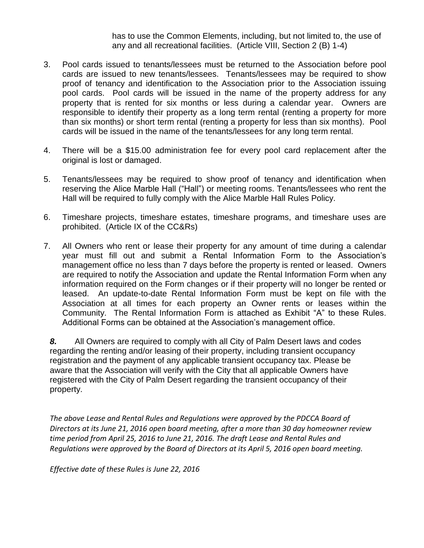has to use the Common Elements, including, but not limited to, the use of any and all recreational facilities. (Article VIII, Section 2 (B) 1-4)

- 3. Pool cards issued to tenants/lessees must be returned to the Association before pool cards are issued to new tenants/lessees. Tenants/lessees may be required to show proof of tenancy and identification to the Association prior to the Association issuing pool cards. Pool cards will be issued in the name of the property address for any property that is rented for six months or less during a calendar year. Owners are responsible to identify their property as a long term rental (renting a property for more than six months) or short term rental (renting a property for less than six months). Pool cards will be issued in the name of the tenants/lessees for any long term rental.
- 4. There will be a \$15.00 administration fee for every pool card replacement after the original is lost or damaged.
- 5. Tenants/lessees may be required to show proof of tenancy and identification when reserving the Alice Marble Hall ("Hall") or meeting rooms. Tenants/lessees who rent the Hall will be required to fully comply with the Alice Marble Hall Rules Policy.
- 6. Timeshare projects, timeshare estates, timeshare programs, and timeshare uses are prohibited. (Article IX of the CC&Rs)
- 7. All Owners who rent or lease their property for any amount of time during a calendar year must fill out and submit a Rental Information Form to the Association's management office no less than 7 days before the property is rented or leased. Owners are required to notify the Association and update the Rental Information Form when any information required on the Form changes or if their property will no longer be rented or leased. An update-to-date Rental Information Form must be kept on file with the Association at all times for each property an Owner rents or leases within the Community. The Rental Information Form is attached as Exhibit "A" to these Rules. Additional Forms can be obtained at the Association's management office.

*8.* All Owners are required to comply with all City of Palm Desert laws and codes regarding the renting and/or leasing of their property, including transient occupancy registration and the payment of any applicable transient occupancy tax. Please be aware that the Association will verify with the City that all applicable Owners have registered with the City of Palm Desert regarding the transient occupancy of their property.

*The above Lease and Rental Rules and Regulations were approved by the PDCCA Board of Directors at its June 21, 2016 open board meeting, after a more than 30 day homeowner review time period from April 25, 2016 to June 21, 2016. The draft Lease and Rental Rules and Regulations were approved by the Board of Directors at its April 5, 2016 open board meeting.*

*Effective date of these Rules is June 22, 2016*